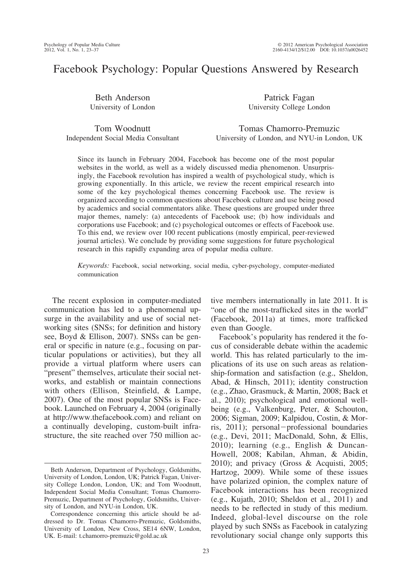# Facebook Psychology: Popular Questions Answered by Research

Beth Anderson University of London

Patrick Fagan University College London

Tom Woodnutt Independent Social Media Consultant

Tomas Chamorro-Premuzic University of London, and NYU-in London, UK

Since its launch in February 2004, Facebook has become one of the most popular websites in the world, as well as a widely discussed media phenomenon. Unsurprisingly, the Facebook revolution has inspired a wealth of psychological study, which is growing exponentially. In this article, we review the recent empirical research into some of the key psychological themes concerning Facebook use. The review is organized according to common questions about Facebook culture and use being posed by academics and social commentators alike. These questions are grouped under three major themes, namely: (a) antecedents of Facebook use; (b) how individuals and corporations use Facebook; and (c) psychological outcomes or effects of Facebook use. To this end, we review over 100 recent publications (mostly empirical, peer-reviewed journal articles). We conclude by providing some suggestions for future psychological research in this rapidly expanding area of popular media culture.

*Keywords:* Facebook, social networking, social media, cyber-psychology, computer-mediated communication

The recent explosion in computer-mediated communication has led to a phenomenal upsurge in the availability and use of social networking sites (SNSs; for definition and history see, Boyd & Ellison, 2007). SNSs can be general or specific in nature (e.g., focusing on particular populations or activities), but they all provide a virtual platform where users can "present" themselves, articulate their social networks, and establish or maintain connections with others (Ellison, Steinfield, & Lampe, 2007). One of the most popular SNSs is Facebook. Launched on February 4, 2004 (originally at http://www.thefacebook.com) and reliant on a continually developing, custom-built infrastructure, the site reached over 750 million ac-

tive members internationally in late 2011. It is "one of the most-trafficked sites in the world" (Facebook, 2011a) at times, more trafficked even than Google.

Facebook's popularity has rendered it the focus of considerable debate within the academic world. This has related particularly to the implications of its use on such areas as relationship-formation and satisfaction (e.g., Sheldon, Abad, & Hinsch, 2011); identity construction (e.g., Zhao, Grasmuck, & Martin, 2008; Back et al., 2010); psychological and emotional wellbeing (e.g., Valkenburg, Peter, & Schouton, 2006; Sigman, 2009; Kalpidou, Costin, & Morris, 2011); personal-professional boundaries (e.g., Devi, 2011; MacDonald, Sohn, & Ellis, 2010); learning (e.g., English & Duncan-Howell, 2008; Kabilan, Ahman, & Abidin, 2010); and privacy (Gross & Acquisti, 2005; Hartzog, 2009). While some of these issues have polarized opinion, the complex nature of Facebook interactions has been recognized (e.g., Kujath, 2010; Sheldon et al., 2011) and needs to be reflected in study of this medium. Indeed, global-level discourse on the role played by such SNSs as Facebook in catalyzing revolutionary social change only supports this

Beth Anderson, Department of Psychology, Goldsmiths, University of London, London, UK; Patrick Fagan, University College London, London, UK; and Tom Woodnutt, Independent Social Media Consultant; Tomas Chamorro-Premuzic, Department of Psychology, Goldsmiths, University of London, and NYU-in London, UK.

Correspondence concerning this article should be addressed to Dr. Tomas Chamorro-Premuzic, Goldsmiths, University of London, New Cross, SE14 6NW, London, UK. E-mail: t.chamorro-premuzic@gold.ac.uk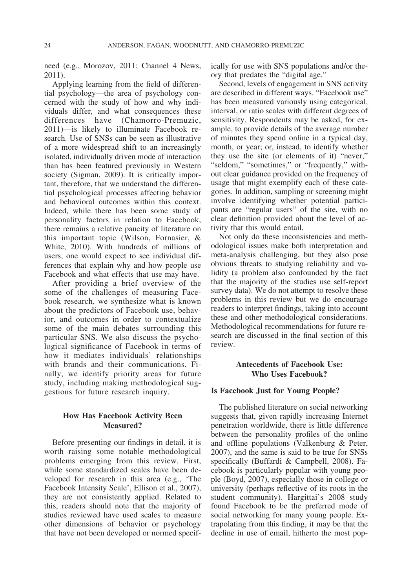need (e.g., Morozov, 2011; Channel 4 News, 2011).

Applying learning from the field of differential psychology—the area of psychology concerned with the study of how and why individuals differ, and what consequences these differences have (Chamorro-Premuzic, 2011)—is likely to illuminate Facebook research. Use of SNSs can be seen as illustrative of a more widespread shift to an increasingly isolated, individually driven mode of interaction than has been featured previously in Western society (Sigman, 2009). It is critically important, therefore, that we understand the differential psychological processes affecting behavior and behavioral outcomes within this context. Indeed, while there has been some study of personality factors in relation to Facebook, there remains a relative paucity of literature on this important topic (Wilson, Fornasier, & White, 2010). With hundreds of millions of users, one would expect to see individual differences that explain why and how people use Facebook and what effects that use may have.

After providing a brief overview of the some of the challenges of measuring Facebook research, we synthesize what is known about the predictors of Facebook use, behavior, and outcomes in order to contextualize some of the main debates surrounding this particular SNS. We also discuss the psychological significance of Facebook in terms of how it mediates individuals' relationships with brands and their communications. Finally, we identify priority areas for future study, including making methodological suggestions for future research inquiry.

### **How Has Facebook Activity Been Measured?**

Before presenting our findings in detail, it is worth raising some notable methodological problems emerging from this review. First, while some standardized scales have been developed for research in this area (e.g., 'The Facebook Intensity Scale', Ellison et al., 2007), they are not consistently applied. Related to this, readers should note that the majority of studies reviewed have used scales to measure other dimensions of behavior or psychology that have not been developed or normed specifically for use with SNS populations and/or theory that predates the "digital age."

Second, levels of engagement in SNS activity are described in different ways. "Facebook use" has been measured variously using categorical, interval, or ratio scales with different degrees of sensitivity. Respondents may be asked, for example, to provide details of the average number of minutes they spend online in a typical day, month, or year; or, instead, to identify whether they use the site (or elements of it) "never," "seldom," "sometimes," or "frequently," without clear guidance provided on the frequency of usage that might exemplify each of these categories. In addition, sampling or screening might involve identifying whether potential participants are "regular users" of the site, with no clear definition provided about the level of activity that this would entail.

Not only do these inconsistencies and methodological issues make both interpretation and meta-analysis challenging, but they also pose obvious threats to studying reliability and validity (a problem also confounded by the fact that the majority of the studies use self-report survey data). We do not attempt to resolve these problems in this review but we do encourage readers to interpret findings, taking into account these and other methodological considerations. Methodological recommendations for future research are discussed in the final section of this review.

# **Antecedents of Facebook Use: Who Uses Facebook?**

#### **Is Facebook Just for Young People?**

The published literature on social networking suggests that, given rapidly increasing Internet penetration worldwide, there is little difference between the personality profiles of the online and offline populations (Valkenburg & Peter, 2007), and the same is said to be true for SNSs specifically (Buffardi & Campbell, 2008). Facebook is particularly popular with young people (Boyd, 2007), especially those in college or university (perhaps reflective of its roots in the student community). Hargittai's 2008 study found Facebook to be the preferred mode of social networking for many young people. Extrapolating from this finding, it may be that the decline in use of email, hitherto the most pop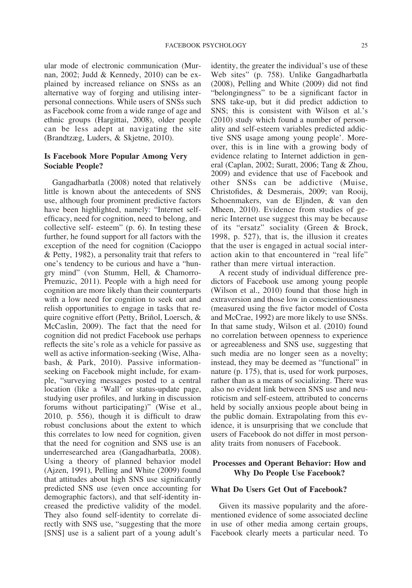ular mode of electronic communication (Murnan, 2002; Judd & Kennedy, 2010) can be explained by increased reliance on SNSs as an alternative way of forging and utilising interpersonal connections. While users of SNSs such as Facebook come from a wide range of age and ethnic groups (Hargittai, 2008), older people can be less adept at navigating the site (Brandtzæg, Luders, & Skjetne, 2010).

#### **Is Facebook More Popular Among Very Sociable People?**

Gangadharbatla (2008) noted that relatively little is known about the antecedents of SNS use, although four prominent predictive factors have been highlighted, namely: "Internet selfefficacy, need for cognition, need to belong, and collective self- esteem" (p. 6). In testing these further, he found support for all factors with the exception of the need for cognition (Cacioppo & Petty, 1982), a personality trait that refers to one's tendency to be curious and have a "hungry mind" (von Stumm, Hell, & Chamorro-Premuzic, 2011). People with a high need for cognition are more likely than their counterparts with a low need for cognition to seek out and relish opportunities to engage in tasks that require cognitive effort (Petty, Briñol, Loersch, & McCaslin, 2009). The fact that the need for cognition did not predict Facebook use perhaps reflects the site's role as a vehicle for passive as well as active information-seeking (Wise, Alhabash, & Park, 2010). Passive informationseeking on Facebook might include, for example, "surveying messages posted to a central location (like a 'Wall' or status-update page, studying user profiles, and lurking in discussion forums without participating)" (Wise et al., 2010, p. 556), though it is difficult to draw robust conclusions about the extent to which this correlates to low need for cognition, given that the need for cognition and SNS use is an underresearched area (Gangadharbatla, 2008). Using a theory of planned behavior model (Ajzen, 1991), Pelling and White (2009) found that attitudes about high SNS use significantly predicted SNS use (even once accounting for demographic factors), and that self-identity increased the predictive validity of the model. They also found self-identity to correlate directly with SNS use, "suggesting that the more [SNS] use is a salient part of a young adult's

identity, the greater the individual's use of these Web sites" (p. 758). Unlike Gangadharbatla (2008), Pelling and White (2009) did not find "belongingness" to be a significant factor in SNS take-up, but it did predict addiction to SNS; this is consistent with Wilson et al.'s (2010) study which found a number of personality and self-esteem variables predicted addictive SNS usage among young people'. Moreover, this is in line with a growing body of evidence relating to Internet addiction in general (Caplan, 2002; Suratt, 2006; Tang & Zhou, 2009) and evidence that use of Facebook and other SNSs can be addictive (Muise, Christofides, & Desmerais, 2009; van Rooij, Schoenmakers, van de Eljnden, & van den Mheen, 2010). Evidence from studies of generic Internet use suggest this may be because of its "ersatz" sociality (Green & Brock, 1998, p. 527), that is, the illusion it creates that the user is engaged in actual social interaction akin to that encountered in "real life" rather than mere virtual interaction.

A recent study of individual difference predictors of Facebook use among young people (Wilson et al., 2010) found that those high in extraversion and those low in conscientiousness (measured using the five factor model of Costa and McCrae, 1992) are more likely to use SNSs. In that same study, Wilson et al. (2010) found no correlation between openness to experience or agreeableness and SNS use, suggesting that such media are no longer seen as a novelty; instead, they may be deemed as "functional" in nature (p. 175), that is, used for work purposes, rather than as a means of socializing. There was also no evident link between SNS use and neuroticism and self-esteem, attributed to concerns held by socially anxious people about being in the public domain. Extrapolating from this evidence, it is unsurprising that we conclude that users of Facebook do not differ in most personality traits from nonusers of Facebook.

### **Processes and Operant Behavior: How and Why Do People Use Facebook?**

#### **What Do Users Get Out of Facebook?**

Given its massive popularity and the aforementioned evidence of some associated decline in use of other media among certain groups, Facebook clearly meets a particular need. To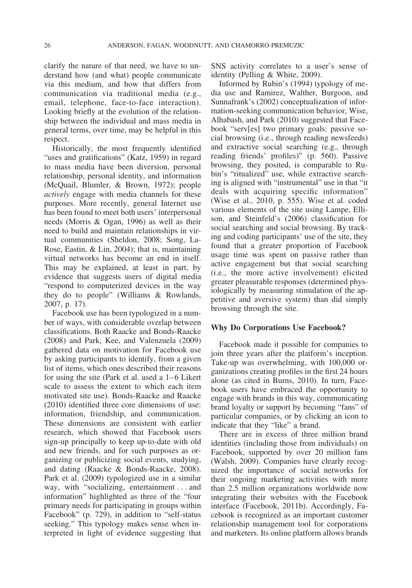clarify the nature of that need, we have to understand how (and what) people communicate via this medium, and how that differs from communication via traditional media (e.g., email, telephone, face-to-face interaction). Looking briefly at the evolution of the relationship between the individual and mass media in general terms, over time, may be helpful in this respect.

Historically, the most frequently identified "uses and gratifications" (Katz, 1959) in regard to mass media have been diversion, personal relationship, personal identity, and information (McQuail, Blumler, & Brown, 1972); people *actively* engage with media channels for these purposes. More recently, general Internet use has been found to meet both users' interpersonal needs (Morris & Ogan, 1996) as well as their need to build and maintain relationships in virtual communities (Sheldon, 2008; Song, La-Rose, Eastin, & Lin, 2004); that is, maintaining virtual networks has become an end in itself. This may be explained, at least in part, by evidence that suggests users of digital media "respond to computerized devices in the way they do to people" (Williams & Rowlands, 2007, p. 17).

Facebook use has been typologized in a number of ways, with considerable overlap between classifications. Both Raacke and Bonds-Raacke (2008) and Park, Kee, and Valenzuela (2009) gathered data on motivation for Facebook use by asking participants to identify, from a given list of items, which ones described their reasons for using the site (Park et al. used a  $1-6$  Likert scale to assess the extent to which each item motivated site use). Bonds-Raacke and Raacke (2010) identified three core dimensions of use: information, friendship, and communication. These dimensions are consistent with earlier research, which showed that Facebook users sign-up principally to keep up-to-date with old and new friends, and for such purposes as organizing or publicizing social events, studying, and dating (Raacke & Bonds-Raacke, 2008). Park et al. (2009) typologized use in a similar way, with "socializing, entertainment . . . and information" highlighted as three of the "four primary needs for participating in groups within Facebook" (p. 729), in addition to "self-status seeking." This typology makes sense when interpreted in light of evidence suggesting that

SNS activity correlates to a user's sense of identity (Pelling & White, 2009).

Informed by Rubin's (1994) typology of media use and Ramirez, Walther, Burgoon, and Sunnafrank's (2002) conceptualization of information-seeking communication behavior, Wise, Alhabash, and Park (2010) suggested that Facebook "serv[es] two primary goals: passive social browsing (i.e., through reading newsfeeds) and extractive social searching (e.g., through reading friends' profiles)" (p. 560). Passive browsing, they posited, is comparable to Rubin's "ritualized" use, while extractive searching is aligned with "instrumental" use in that "it deals with acquiring specific information" (Wise et al., 2010, p. 555). Wise et al. coded various elements of the site using Lampe, Ellison, and Steinfeld's (2006) classification for social searching and social browsing. By tracking and coding participants' use of the site, they found that a greater proportion of Facebook usage time was spent on passive rather than active engagement but that social searching (i.e., the more active involvement) elicited greater pleasurable responses (determined physiologically by measuring stimulation of the appetitive and aversive system) than did simply browsing through the site.

#### **Why Do Corporations Use Facebook?**

Facebook made it possible for companies to join three years after the platform's inception. Take-up was overwhelming, with 100,000 organizations creating profiles in the first 24 hours alone (as cited in Burns, 2010). In turn, Facebook users have embraced the opportunity to engage with brands in this way, communicating brand loyalty or support by becoming "fans" of particular companies, or by clicking an icon to indicate that they "like" a brand.

There are in excess of three million brand identities (including those from individuals) on Facebook, supported by over 20 million fans (Walsh, 2009). Companies have clearly recognized the importance of social networks for their ongoing marketing activities with more than 2.5 million organizations worldwide now integrating their websites with the Facebook interface (Facebook, 2011b). Accordingly, Facebook is recognized as an important customer relationship management tool for corporations and marketers. Its online platform allows brands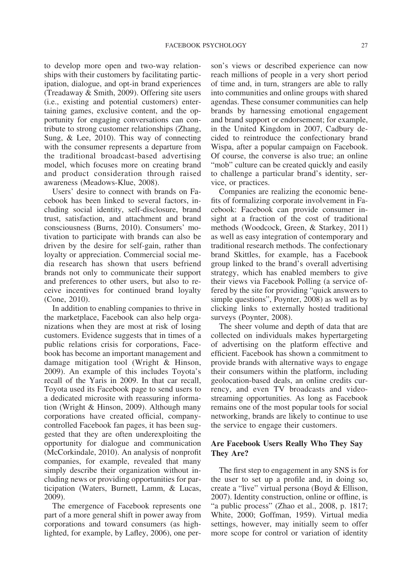to develop more open and two-way relationships with their customers by facilitating participation, dialogue, and opt-in brand experiences (Treadaway & Smith, 2009). Offering site users (i.e., existing and potential customers) entertaining games, exclusive content, and the opportunity for engaging conversations can contribute to strong customer relationships (Zhang, Sung, & Lee, 2010). This way of connecting with the consumer represents a departure from the traditional broadcast-based advertising model, which focuses more on creating brand and product consideration through raised awareness (Meadows-Klue, 2008).

Users' desire to connect with brands on Facebook has been linked to several factors, including social identity, self-disclosure, brand trust, satisfaction, and attachment and brand consciousness (Burns, 2010). Consumers' motivation to participate with brands can also be driven by the desire for self-gain, rather than loyalty or appreciation. Commercial social media research has shown that users befriend brands not only to communicate their support and preferences to other users, but also to receive incentives for continued brand loyalty (Cone, 2010).

In addition to enabling companies to thrive in the marketplace, Facebook can also help organizations when they are most at risk of losing customers. Evidence suggests that in times of a public relations crisis for corporations, Facebook has become an important management and damage mitigation tool (Wright & Hinson, 2009). An example of this includes Toyota's recall of the Yaris in 2009. In that car recall, Toyota used its Facebook page to send users to a dedicated microsite with reassuring information (Wright & Hinson, 2009). Although many corporations have created official, companycontrolled Facebook fan pages, it has been suggested that they are often underexploiting the opportunity for dialogue and communication (McCorkindale, 2010). An analysis of nonprofit companies, for example, revealed that many simply describe their organization without including news or providing opportunities for participation (Waters, Burnett, Lamm, & Lucas, 2009).

The emergence of Facebook represents one part of a more general shift in power away from corporations and toward consumers (as highlighted, for example, by Lafley, 2006), one person's views or described experience can now reach millions of people in a very short period of time and, in turn, strangers are able to rally into communities and online groups with shared agendas. These consumer communities can help brands by harnessing emotional engagement and brand support or endorsement; for example, in the United Kingdom in 2007, Cadbury decided to reintroduce the confectionary brand Wispa, after a popular campaign on Facebook. Of course, the converse is also true; an online "mob" culture can be created quickly and easily to challenge a particular brand's identity, service, or practices.

Companies are realizing the economic benefits of formalizing corporate involvement in Facebook: Facebook can provide consumer insight at a fraction of the cost of traditional methods (Woodcock, Green, & Starkey, 2011) as well as easy integration of contemporary and traditional research methods. The confectionary brand Skittles, for example, has a Facebook group linked to the brand's overall advertising strategy, which has enabled members to give their views via Facebook Polling (a service offered by the site for providing "quick answers to simple questions", Poynter, 2008) as well as by clicking links to externally hosted traditional surveys (Poynter, 2008).

The sheer volume and depth of data that are collected on individuals makes hypertargeting of advertising on the platform effective and efficient. Facebook has shown a commitment to provide brands with alternative ways to engage their consumers within the platform, including geolocation-based deals, an online credits currency, and even TV broadcasts and videostreaming opportunities. As long as Facebook remains one of the most popular tools for social networking, brands are likely to continue to use the service to engage their customers.

### **Are Facebook Users Really Who They Say They Are?**

The first step to engagement in any SNS is for the user to set up a profile and, in doing so, create a "live" virtual persona (Boyd & Ellison, 2007). Identity construction, online or offline, is "a public process" (Zhao et al., 2008, p. 1817; White, 2000; Goffman, 1959). Virtual media settings, however, may initially seem to offer more scope for control or variation of identity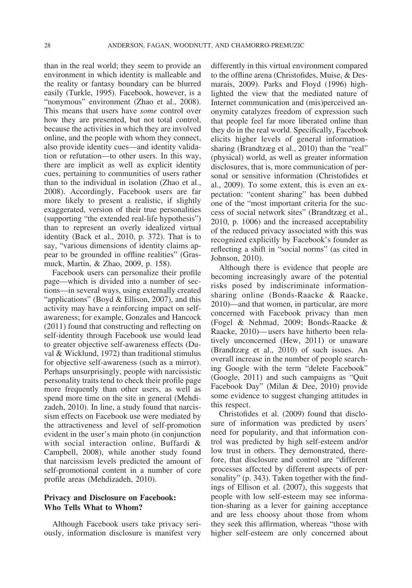than in the real world; they seem to provide an environment in which identity is malleable and the reality or fantasy boundary can be blurred easily (Turkle, 1995). Facebook, however, is a "nonymous" environment (Zhao et al., 2008). This means that users have *some* control over how they are presented, but not total control, because the activities in which they are involved online, and the people with whom they connect, also provide identity cues—and identity validation or refutation—to other users. In this way, there are implicit as well as explicit identity cues, pertaining to communities of users rather than to the individual in isolation (Zhao et al., 2008). Accordingly, Facebook users are far more likely to present a realistic, if slightly exaggerated, version of their true personalities (supporting "the extended real-life hypothesis") than to represent an overly idealized virtual identity (Back et al., 2010, p. 372). That is to say, "various dimensions of identity claims appear to be grounded in offline realities" (Grasmuck, Martin, & Zhao, 2009, p. 158).

Facebook users can personalize their profile page—which is divided into a number of sections—in several ways, using externally created "applications" (Boyd & Ellison, 2007), and this activity may have a reinforcing impact on selfawareness; for example, Gonzales and Hancock (2011) found that constructing and reflecting on self-identity through Facebook use would lead to greater objective self-awareness effects (Duval & Wicklund, 1972) than traditional stimulus for objective self-awareness (such as a mirror). Perhaps unsurprisingly, people with narcissistic personality traits tend to check their profile page more frequently than other users, as well as spend more time on the site in general (Mehdizadeh, 2010). In line, a study found that narcissism effects on Facebook use were mediated by the attractiveness and level of self-promotion evident in the user's main photo (in conjunction with social interaction online, Buffardi & Campbell, 2008), while another study found that narcissism levels predicted the amount of self-promotional content in a number of core profile areas (Mehdizadeh, 2010).

# **Privacy and Disclosure on Facebook: Who Tells What to Whom?**

Although Facebook users take privacy seriously, information disclosure is manifest very differently in this virtual environment compared to the offline arena (Christofides, Muise, & Desmarais, 2009). Parks and Floyd (1996) highlighted the view that the mediated nature of Internet communication and (mis)perceived anonymity catalyzes freedom of expression such that people feel far more liberated online than they do in the real world. Specifically, Facebook elicits higher levels of general informationsharing (Brandtzæg et al., 2010) than the "real" (physical) world, as well as greater information disclosures, that is, more communication of personal or sensitive information (Christofides et al., 2009). To some extent, this is even an expectation: "content sharing" has been dubbed one of the "most important criteria for the success of social network sites" (Brandtzæg et al., 2010, p. 1006) and the increased acceptability of the reduced privacy associated with this was recognized explicitly by Facebook's founder as reflecting a shift in "social norms" (as cited in Johnson, 2010).

Although there is evidence that people are becoming increasingly aware of the potential risks posed by indiscriminate informationsharing online (Bonds-Raacke & Raacke, 2010)—and that women, in particular, are more concerned with Facebook privacy than men (Fogel & Nehmad, 2009; Bonds-Raacke & Raacke, 2010)— users have hitherto been relatively unconcerned (Hew, 2011) or unaware (Brandtzæg et al., 2010) of such issues. An overall increase in the number of people searching Google with the term "delete Facebook" (Google, 2011) and such campaigns as "Quit Facebook Day" (Milan & Dee, 2010) provide some evidence to suggest changing attitudes in this respect.

Christofides et al. (2009) found that disclosure of information was predicted by users' need for popularity, and that information control was predicted by high self-esteem and/or low trust in others. They demonstrated, therefore, that disclosure and control are "different processes affected by different aspects of personality" (p. 343). Taken together with the findings of Ellison et al. (2007), this suggests that people with low self-esteem may see information-sharing as a lever for gaining acceptance and are less choosy about those from whom they seek this affirmation, whereas "those with higher self-esteem are only concerned about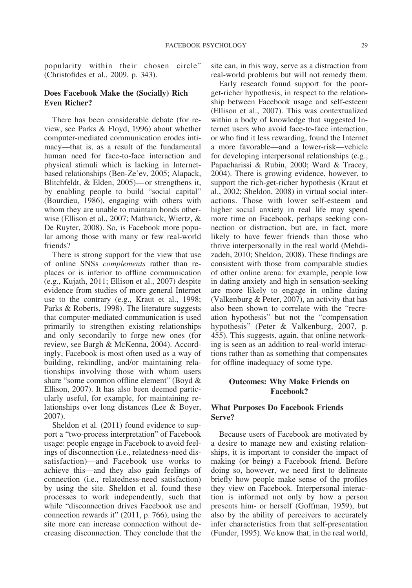popularity within their chosen circle" (Christofides et al., 2009, p. 343).

#### **Does Facebook Make the (Socially) Rich Even Richer?**

There has been considerable debate (for review, see Parks & Floyd, 1996) about whether computer-mediated communication erodes intimacy—that is, as a result of the fundamental human need for face-to-face interaction and physical stimuli which is lacking in Internetbased relationships (Ben-Ze'ev, 2005; Alapack, Blitchfeldt, & Elden, 2005)— or strengthens it, by enabling people to build "social capital" (Bourdieu, 1986), engaging with others with whom they are unable to maintain bonds otherwise (Ellison et al., 2007; Mathwick, Wiertz, & De Ruyter, 2008). So, is Facebook more popular among those with many or few real-world friends?

There is strong support for the view that use of online SNSs *complements* rather than replaces or is inferior to offline communication (e.g., Kujath, 2011; Ellison et al., 2007) despite evidence from studies of more general Internet use to the contrary (e.g., Kraut et al., 1998; Parks & Roberts, 1998). The literature suggests that computer-mediated communication is used primarily to strengthen existing relationships and only secondarily to forge new ones (for review, see Bargh & McKenna, 2004). Accordingly, Facebook is most often used as a way of building, rekindling, and/or maintaining relationships involving those with whom users share "some common offline element" (Boyd & Ellison, 2007). It has also been deemed particularly useful, for example, for maintaining relationships over long distances (Lee & Boyer, 2007).

Sheldon et al. (2011) found evidence to support a "two-process interpretation" of Facebook usage: people engage in Facebook to avoid feelings of disconnection (i.e., relatedness-need dissatisfaction)—and Facebook use works to achieve this—and they also gain feelings of connection (i.e., relatedness-need satisfaction) by using the site. Sheldon et al. found these processes to work independently, such that while "disconnection drives Facebook use and connection rewards it" (2011, p. 766), using the site more can increase connection without decreasing disconnection. They conclude that the

site can, in this way, serve as a distraction from real-world problems but will not remedy them.

Early research found support for the poorget-richer hypothesis, in respect to the relationship between Facebook usage and self-esteem (Ellison et al., 2007). This was contextualized within a body of knowledge that suggested Internet users who avoid face-to-face interaction, or who find it less rewarding, found the Internet a more favorable—and a lower-risk—vehicle for developing interpersonal relationships (e.g., Papacharissi & Rubin, 2000; Ward & Tracey, 2004). There is growing evidence, however, to support the rich-get-richer hypothesis (Kraut et al., 2002; Sheldon, 2008) in virtual social interactions. Those with lower self-esteem and higher social anxiety in real life may spend more time on Facebook, perhaps seeking connection or distraction, but are, in fact, more likely to have fewer friends than those who thrive interpersonally in the real world (Mehdizadeh, 2010; Sheldon, 2008). These findings are consistent with those from comparable studies of other online arena: for example, people low in dating anxiety and high in sensation-seeking are more likely to engage in online dating (Valkenburg & Peter, 2007), an activity that has also been shown to correlate with the "recreation hypothesis" but not the "compensation hypothesis" (Peter & Valkenburg, 2007, p. 455). This suggests, again, that online networking is seen as an addition to real-world interactions rather than as something that compensates for offline inadequacy of some type.

## **Outcomes: Why Make Friends on Facebook?**

# **What Purposes Do Facebook Friends Serve?**

Because users of Facebook are motivated by a desire to manage new and existing relationships, it is important to consider the impact of making (or being) a Facebook friend. Before doing so, however, we need first to delineate briefly how people make sense of the profiles they view on Facebook. Interpersonal interaction is informed not only by how a person presents him- or herself (Goffman, 1959), but also by the ability of perceivers to accurately infer characteristics from that self-presentation (Funder, 1995). We know that, in the real world,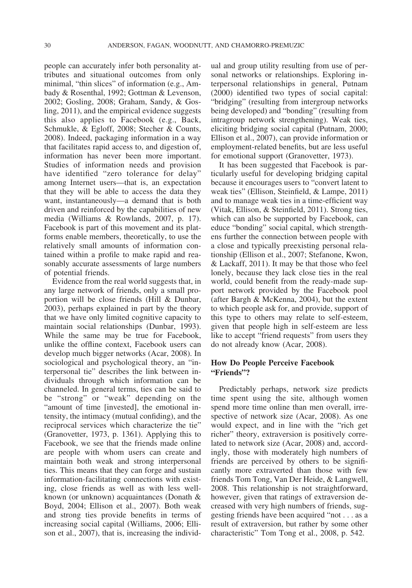people can accurately infer both personality attributes and situational outcomes from only minimal, "thin slices" of information (e.g., Ambady & Rosenthal, 1992; Gottman & Levenson, 2002; Gosling, 2008; Graham, Sandy, & Gosling, 2011), and the empirical evidence suggests this also applies to Facebook (e.g., Back, Schmukle, & Egloff, 2008; Stecher & Counts, 2008). Indeed, packaging information in a way that facilitates rapid access to, and digestion of, information has never been more important. Studies of information needs and provision have identified "zero tolerance for delay" among Internet users—that is, an expectation that they will be able to access the data they want, instantaneously—a demand that is both driven and reinforced by the capabilities of new media (Williams & Rowlands, 2007, p. 17). Facebook is part of this movement and its platforms enable members, theoretically, to use the relatively small amounts of information contained within a profile to make rapid and reasonably accurate assessments of large numbers of potential friends.

Evidence from the real world suggests that, in any large network of friends, only a small proportion will be close friends (Hill & Dunbar, 2003), perhaps explained in part by the theory that we have only limited cognitive capacity to maintain social relationships (Dunbar, 1993). While the same may be true for Facebook, unlike the offline context, Facebook users can develop much bigger networks (Acar, 2008). In sociological and psychological theory, an "interpersonal tie" describes the link between individuals through which information can be channeled. In general terms, ties can be said to be "strong" or "weak" depending on the "amount of time [invested], the emotional intensity, the intimacy (mutual confiding), and the reciprocal services which characterize the tie" (Granovetter, 1973, p. 1361). Applying this to Facebook, we see that the friends made online are people with whom users can create and maintain both weak and strong interpersonal ties. This means that they can forge and sustain information-facilitating connections with existing, close friends as well as with less wellknown (or unknown) acquaintances (Donath & Boyd, 2004; Ellison et al., 2007). Both weak and strong ties provide benefits in terms of increasing social capital (Williams, 2006; Ellison et al., 2007), that is, increasing the individual and group utility resulting from use of personal networks or relationships. Exploring interpersonal relationships in general, Putnam (2000) identified two types of social capital: "bridging" (resulting from intergroup networks being developed) and "bonding" (resulting from intragroup network strengthening). Weak ties, eliciting bridging social capital (Putnam, 2000; Ellison et al., 2007), can provide information or employment-related benefits, but are less useful for emotional support (Granovetter, 1973).

It has been suggested that Facebook is particularly useful for developing bridging capital because it encourages users to "convert latent to weak ties" (Ellison, Steinfield, & Lampe, 2011) and to manage weak ties in a time-efficient way (Vitak, Ellison, & Steinfield, 2011). Strong ties, which can also be supported by Facebook, can educe "bonding" social capital, which strengthens further the connection between people with a close and typically preexisting personal relationship (Ellison et al., 2007; Stefanone, Kwon, & Lackaff, 2011). It may be that those who feel lonely, because they lack close ties in the real world, could benefit from the ready-made support network provided by the Facebook pool (after Bargh & McKenna, 2004), but the extent to which people ask for, and provide, support of this type to others may relate to self-esteem, given that people high in self-esteem are less like to accept "friend requests" from users they do not already know (Acar, 2008).

# **How Do People Perceive Facebook "Friends"?**

Predictably perhaps, network size predicts time spent using the site, although women spend more time online than men overall, irrespective of network size (Acar, 2008). As one would expect, and in line with the "rich get richer" theory, extraversion is positively correlated to network size (Acar, 2008) and, accordingly, those with moderately high numbers of friends are perceived by others to be significantly more extraverted than those with few friends Tom Tong, Van Der Heide, & Langwell, 2008. This relationship is not straightforward, however, given that ratings of extraversion decreased with very high numbers of friends, suggesting friends have been acquired "not . . . as a result of extraversion, but rather by some other characteristic" Tom Tong et al., 2008, p. 542.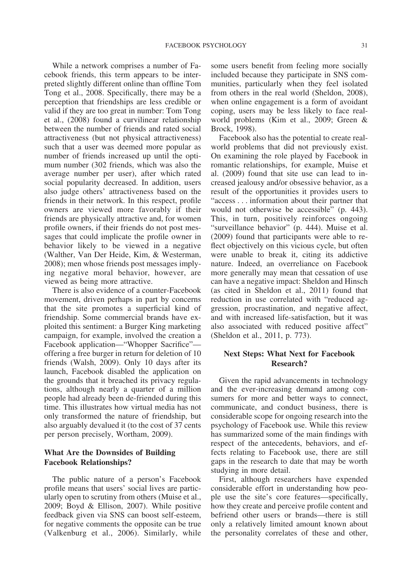While a network comprises a number of Facebook friends, this term appears to be interpreted slightly different online than offline Tom Tong et al., 2008. Specifically, there may be a perception that friendships are less credible or valid if they are too great in number: Tom Tong et al., (2008) found a curvilinear relationship between the number of friends and rated social attractiveness (but not physical attractiveness) such that a user was deemed more popular as number of friends increased up until the optimum number (302 friends, which was also the average number per user), after which rated social popularity decreased. In addition, users also judge others' attractiveness based on the friends in their network. In this respect, profile owners are viewed more favorably if their friends are physically attractive and, for women profile owners, if their friends do not post messages that could implicate the profile owner in behavior likely to be viewed in a negative (Walther, Van Der Heide, Kim, & Westerman, 2008); men whose friends post messages implying negative moral behavior, however, are viewed as being more attractive.

There is also evidence of a counter-Facebook movement, driven perhaps in part by concerns that the site promotes a superficial kind of friendship. Some commercial brands have exploited this sentiment: a Burger King marketing campaign, for example, involved the creation a Facebook application—"Whopper Sacrifice" offering a free burger in return for deletion of 10 friends (Walsh, 2009). Only 10 days after its launch, Facebook disabled the application on the grounds that it breached its privacy regulations, although nearly a quarter of a million people had already been de-friended during this time. This illustrates how virtual media has not only transformed the nature of friendship, but also arguably devalued it (to the cost of 37 cents per person precisely, Wortham, 2009).

# **What Are the Downsides of Building Facebook Relationships?**

The public nature of a person's Facebook profile means that users' social lives are particularly open to scrutiny from others (Muise et al., 2009; Boyd & Ellison, 2007). While positive feedback given via SNS can boost self-esteem, for negative comments the opposite can be true (Valkenburg et al., 2006). Similarly, while some users benefit from feeling more socially included because they participate in SNS communities, particularly when they feel isolated from others in the real world (Sheldon, 2008), when online engagement is a form of avoidant coping, users may be less likely to face realworld problems (Kim et al., 2009; Green & Brock, 1998).

Facebook also has the potential to create realworld problems that did not previously exist. On examining the role played by Facebook in romantic relationships, for example, Muise et al. (2009) found that site use can lead to increased jealousy and/or obsessive behavior, as a result of the opportunities it provides users to "access... information about their partner that would not otherwise be accessible" (p. 443). This, in turn, positively reinforces ongoing "surveillance behavior" (p. 444). Muise et al. (2009) found that participants were able to reflect objectively on this vicious cycle, but often were unable to break it, citing its addictive nature. Indeed, an overreliance on Facebook more generally may mean that cessation of use can have a negative impact: Sheldon and Hinsch (as cited in Sheldon et al., 2011) found that reduction in use correlated with "reduced aggression, procrastination, and negative affect, and with increased life-satisfaction, but it was also associated with reduced positive affect" (Sheldon et al., 2011, p. 773).

#### **Next Steps: What Next for Facebook Research?**

Given the rapid advancements in technology and the ever-increasing demand among consumers for more and better ways to connect, communicate, and conduct business, there is considerable scope for ongoing research into the psychology of Facebook use. While this review has summarized some of the main findings with respect of the antecedents, behaviors, and effects relating to Facebook use, there are still gaps in the research to date that may be worth studying in more detail.

First, although researchers have expended considerable effort in understanding how people use the site's core features—specifically, how they create and perceive profile content and befriend other users or brands—there is still only a relatively limited amount known about the personality correlates of these and other,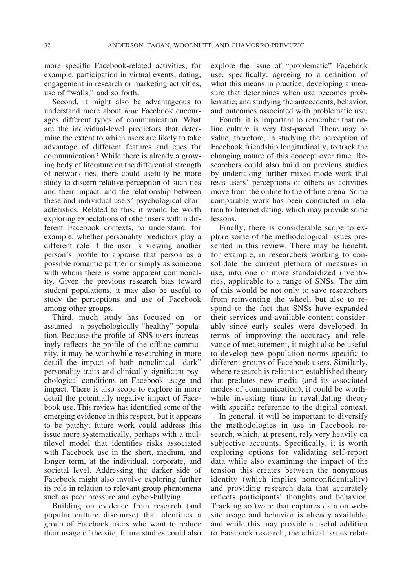more specific Facebook-related activities, for example, participation in virtual events, dating, engagement in research or marketing activities, use of "walls," and so forth.

Second, it might also be advantageous to understand more about *how* Facebook encourages different types of communication. What are the individual-level predictors that determine the extent to which users are likely to take advantage of different features and cues for communication? While there is already a growing body of literature on the differential strength of network ties, there could usefully be more study to discern relative perception of such ties and their impact, and the relationship between these and individual users' psychological characteristics. Related to this, it would be worth exploring expectations of other users within different Facebook contexts, to understand, for example, whether personality predictors play a different role if the user is viewing another person's profile to appraise that person as a possible romantic partner or simply as someone with whom there is some apparent commonality. Given the previous research bias toward student populations, it may also be useful to study the perceptions and use of Facebook among other groups.

Third, much study has focused on— or assumed—a psychologically "healthy" population. Because the profile of SNS users increasingly reflects the profile of the offline community, it may be worthwhile researching in more detail the impact of both nonclinical "dark" personality traits and clinically significant psychological conditions on Facebook usage and impact. There is also scope to explore in more detail the potentially negative impact of Facebook use. This review has identified some of the emerging evidence in this respect, but it appears to be patchy; future work could address this issue more systematically, perhaps with a multilevel model that identifies risks associated with Facebook use in the short, medium, and longer term, at the individual, corporate, and societal level. Addressing the darker side of Facebook might also involve exploring further its role in relation to relevant group phenomena such as peer pressure and cyber-bullying.

Building on evidence from research (and popular culture discourse) that identifies a group of Facebook users who want to reduce their usage of the site, future studies could also explore the issue of "problematic" Facebook use, specifically: agreeing to a definition of what this means in practice; developing a measure that determines when use becomes problematic; and studying the antecedents, behavior, and outcomes associated with problematic use.

Fourth, it is important to remember that online culture is very fast-paced. There may be value, therefore, in studying the perception of Facebook friendship longitudinally, to track the changing nature of this concept over time. Researchers could also build on previous studies by undertaking further mixed-mode work that tests users' perceptions of others as activities move from the online to the offline arena. Some comparable work has been conducted in relation to Internet dating, which may provide some lessons.

Finally, there is considerable scope to explore some of the methodological issues presented in this review. There may be benefit, for example, in researchers working to consolidate the current plethora of measures in use, into one or more standardized inventories, applicable to a range of SNSs. The aim of this would be not only to save researchers from reinventing the wheel, but also to respond to the fact that SNSs have expanded their services and available content considerably since early scales were developed. In terms of improving the accuracy and relevance of measurement, it might also be useful to develop new population norms specific to different groups of Facebook users. Similarly, where research is reliant on established theory that predates new media (and its associated modes of communication), it could be worthwhile investing time in revalidating theory with specific reference to the digital context.

In general, it will be important to diversify the methodologies in use in Facebook research, which, at present, rely very heavily on subjective accounts. Specifically, it is worth exploring options for validating self-report data while also examining the impact of the tension this creates between the nonymous identity (which implies nonconfidentiality) and providing research data that accurately reflects participants' thoughts and behavior. Tracking software that captures data on website usage and behavior is already available, and while this may provide a useful addition to Facebook research, the ethical issues relat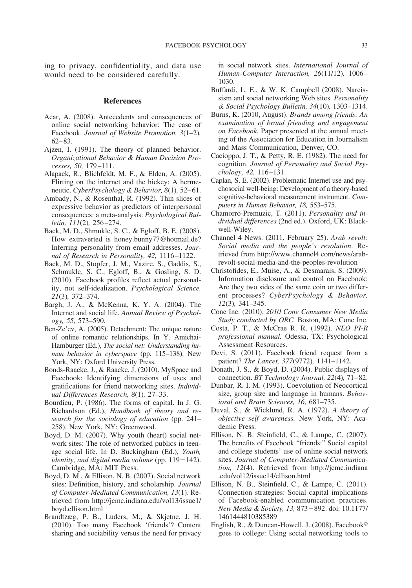ing to privacy, confidentiality, and data use would need to be considered carefully.

#### **References**

- Acar, A. (2008). Antecedents and consequences of online social networking behavior: The case of Facebook. *Journal of Website Promotion, 3*(1–2)*,*  $62 - 83.$
- Ajzen, I. (1991). The theory of planned behavior. *Organizational Behavior & Human Decision Processes, 50,* 179 –111.
- Alapack, R., Blichfeldt, M. F., & Elden, A. (2005). Flirting on the internet and the hickey: A hermeneutic. *CyberPsychology & Behavior*, 8(1), 52–61.
- Ambady, N., & Rosenthal, R. (1992). Thin slices of expressive behavior as predictors of interpersonal consequences: a meta-analysis. *Psychological Bulletin, 111*(2)*,* 256 –274.
- Back, M. D., Shmukle, S. C., & Egloff, B. E. (2008). How extraverted is honey.bunny77@hotmail.de? Inferring personality from email addresses. *Journal of Research in Personality, 42,* 1116 –1122.
- Back, M. D., Stopfer, J. M., Vazire, S., Gaddis, S., Schmukle, S. C., Egloff, B., & Gosling, S. D. (2010). Facebook profiles reflect actual personality, not self-idealization. *Psychological Science, 21*(3)*,* 372–374.
- Bargh, J. A., & McKenna, K. Y. A. (2004). The Internet and social life. *Annual Review of Psychology, 55,* 573–590.
- Ben-Ze'ev, A. (2005). Detachment: The unique nature of online romantic relationships. In Y. Amichai-Hamburger (Ed.), *The social net: Understanding human behavior in cyberspace* (pp. 115–138). New York, NY: Oxford University Press.
- Bonds-Raacke, J., & Raacke, J. (2010). MySpace and Facebook: Identifying dimensions of uses and gratifications for friend networking sites. *Individual Differences Research, 8*(1)*,* 27–33.
- Bourdieu, P. (1986). The forms of capital. In J. G. Richardson (Ed.), *Handbook of theory and research for the sociology of education* (pp. 241– 258). New York, NY: Greenwood.
- Boyd, D. M. (2007). Why youth (heart) social network sites: The role of networked publics in teenage social life. In D. Buckingham (Ed.), *Youth, identity, and digital media volume* (pp.  $119-142$ ). Cambridge, MA: MIT Press.
- Boyd, D. M., & Ellison, N. B. (2007). Social network sites: Definition, history, and scholarship. *Journal of Computer-Mediated Communication, 13*(1). Retrieved from http://jcmc.indiana.edu/vol13/issue1/ boyd.ellison.html
- Brandtzæg, P. B., Luders, M., & Skjetne, J. H. (2010). Too many Facebook 'friends'? Content sharing and sociability versus the need for privacy

in social network sites. *International Journal of Human-Computer Interaction, 26*(11/12)*,* 1006 – 1030.

- Buffardi, L. E., & W. K. Campbell (2008). Narcissism and social networking Web sites. *Personality & Social Psychology Bulletin, 34*(10)*,* 1303–1314.
- Burns, K. (2010, August). *Brands among friends: An examination of brand friending and engagement on Facebook.* Paper presented at the annual meeting of the Association for Education in Journalism and Mass Communication, Denver, CO.
- Cacioppo, J. T., & Petty, R. E. (1982). The need for cognition. *Journal of Personality and Social Psychology, 42,* 116 –131.
- Caplan, S. E. (2002). Problematic Internet use and psychosocial well-being: Development of a theory-based cognitive-behavioral measurement instrument. *Computers in Human Behavior, 18,* 553–575.
- Chamorro-Premuzic, T. (2011). *Personality and individual differences* (2nd ed.). Oxford, UK: Blackwell-Wiley.
- Channel 4 News. (2011, February 25). *Arab revolt: Social media and the people's revolution*. Retrieved from http://www.channel4.com/news/arabrevolt-social-media-and-the-peoples-revolution
- Christofides, E., Muise, A., & Desmarais, S. (2009). Information disclosure and control on Facebook: Are they two sides of the same coin or two different processes? *CyberPsychology & Behavior, 12*(3)*,* 341–345.
- Cone Inc. (2010). *2010 Cone Consumer New Media Study conducted by ORC.* Boston, MA: Cone Inc.
- Costa, P. T., & McCrae R. R. (1992). *NEO PI-R professional manual.* Odessa, TX: Psychological Assessment Resources.
- Devi, S. (2011). Facebook friend request from a patient? *The Lancet, 377*(9772)*,* 1141–1142.
- Donath, J. S., & Boyd, D. (2004). Public displays of connection. *BT Technology Journal, 22*(4)*,* 71– 82.
- Dunbar, R. I. M. (1993). Coevolution of Neocortical size, group size and language in humans. *Behavioral and Brain Sciences, 16,* 681–735.
- Duval, S., & Wicklund, R. A. (1972). *A theory of objective self awareness.* New York, NY: Academic Press.
- Ellison, N. B. Steinfield, C., & Lampe, C. (2007). The benefits of Facebook "friends:" Social capital and college students' use of online social network sites. *Journal of Computer-Mediated Communication, 12*(4). Retrieved from http://jcmc.indiana .edu/vol12/issue14/ellison.html
- Ellison, N. B., Steinfield, C., & Lampe, C. (2011). Connection strategies: Social capital implications of Facebook-enabled communication practices. *New Media & Society, 13, 873-892. doi: 10.1177/* 1461444810385389
- English, R., & Duncan-Howell, J. (2008). Facebook goes to college: Using social networking tools to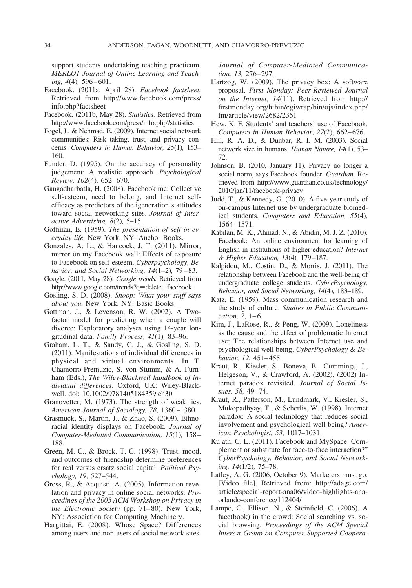support students undertaking teaching practicum. *MERLOT Journal of Online Learning and Teaching, 4*(4)*,* 596 – 601.

- Facebook. (2011a, April 28). *Facebook factsheet.* Retrieved from http://www.facebook.com/press/ info.php?factsheet
- Facebook. (2011b, May 28). *Statistics.* Retrieved from http://www.facebook.com/press/info.php?statistics
- Fogel, J., & Nehmad, E. (2009). Internet social network communities: Risk taking, trust, and privacy concerns. *Computers in Human Behavior, 25*(1)*,* 153– 160.
- Funder, D. (1995). On the accuracy of personality judgement: A realistic approach. *Psychological Review, 102*(4)*,* 652– 670.
- Gangadharbatla, H. (2008). Facebook me: Collective self-esteem, need to belong, and Internet selfefficacy as predictors of the igeneration's attitudes toward social networking sites. *Journal of Interactive Advertising, 8*(2)*,* 5–15.
- Goffman, E. (1959). *The presentation of self in everyday life.* New York, NY: Anchor Books.
- Gonzales, A. L., & Hancock, J. T. (2011). Mirror, mirror on my Facebook wall: Effects of exposure to Facebook on self-esteem. *Cyberpsychology, Behavior, and Social Networking, 14*(1–2)*,* 79 – 83.
- Google. (2011, May 28). *Google trends.* Retrieved from http://www.google.com/trends?q=delete+facebook
- Gosling, S. D. (2008). *Snoop: What your stuff says about you.* New York, NY: Basic Books.
- Gottman, J., & Levenson, R. W. (2002). A Twofactor model for predicting when a couple will divorce: Exploratory analyses using 14-year longitudinal data. *Family Process, 41*(1)*,* 83–96.
- Graham, L. T., & Sandy, C. J., & Gosling, S. D. (2011). Manifestations of individual differences in physical and virtual environments. In T. Chamorro-Premuzic, S. von Stumm, & A. Furnham (Eds.), *The Wiley-Blackwell handbook of individual differences*. Oxford, UK: Wiley-Blackwell. doi: 10.1002/9781405184359.ch30
- Granovetter, M. (1973). The strength of weak ties. *American Journal of Sociology, 78,* 1360 –1380.
- Grasmuck, S., Martin, J., & Zhao, S. (2009). Ethnoracial identity displays on Facebook. *Journal of Computer-Mediated Communication, 15*(1)*,* 158 – 188.
- Green, M. C., & Brock, T. C. (1998). Trust, mood, and outcomes of friendship determine preferences for real versus ersatz social capital. *Political Psychology, 19,* 527–544.
- Gross, R., & Acquisti. A. (2005). Information revelation and privacy in online social networks. *Proceedings of the 2005 ACM Workshop on Privacy in the Electronic Society* (pp. 71– 80). New York, NY: Association for Computing Machinery.
- Hargittai, E. (2008). Whose Space? Differences among users and non-users of social network sites.

*Journal of Computer-Mediated Communication, 13,* 276 –297.

- Hartzog, W. (2009). The privacy box: A software proposal. *First Monday: Peer-Reviewed Journal on the Internet, 14*(11). Retrieved from http:// firstmonday.org/htbin/cgiwrap/bin/ojs/index.php/ fm/article/view/2682/2361
- Hew, K. F. Students' and teachers' use of Facebook. *Computers in Human Behavior*, *27*(2), 662– 676.
- Hill, R. A. D., & Dunbar, R. I. M. (2003). Social network size in humans. *Human Nature, 14*(1), 53– 72.
- Johnson, B. (2010, January 11). Privacy no longer a social norm, says Facebook founder. *Guardian.* Retrieved from http://www.guardian.co.uk/technology/ 2010/jan/11/facebook-privacy
- Judd, T., & Kennedy, G. (2010). A five-year study of on-campus Internet use by undergraduate biomedical students. *Computers and Education, 55*(4)*,* 1564 –1571.
- Kabilan, M. K., Ahmad, N., & Abidin, M. J. Z. (2010). Facebook: An online environment for learning of English in institutions of higher education? *Internet & Higher Education, 13*(4)*,* 179 –187.
- Kalpidou, M., Costin, D., & Morris, J. (2011). The relationship between Facebook and the well-being of undergraduate college students. *CyberPsychology, Behavior, and Social Networking, 14*(4)*,* 183–189.
- Katz, E. (1959). Mass communication research and the study of culture. *Studies in Public Communication*, 2, 1–6.
- Kim, J., LaRose, R., & Peng, W. (2009). Loneliness as the cause and the effect of problematic Internet use: The relationships between Internet use and psychological well being. *CyberPsychology & Behavior, 12,* 451– 455.
- Kraut, R., Kiesler, S., Boneva, B., Cummings, J., Helgeson, V., & Crawford, A. (2002). (2002) Internet paradox revisited. *Journal of Social Issues, 58,* 49 –74.
- Kraut, R., Patterson, M., Lundmark, V., Kiesler, S., Mukopadhyay, T., & Scherlis, W. (1998). Internet paradox: A social technology that reduces social involvement and psychological well being? *American Psychologist, 53,* 1017–1031.
- Kujath, C. L. (2011). Facebook and MySpace: Complement or substitute for face-to-face interaction?" *CyberPsychology, Behavior, and Social Networking, 14*(1/2)*,* 75–78.
- Lafley, A. G. (2006, October 9). Marketers must go. [Video file]. Retrieved from: http://adage.com/ article/special-report-ana06/video-highlights-anaorlando-conference/112404/
- Lampe, C., Ellison, N., & Steinfield, C. (2006). A face(book) in the crowd: Social searching vs. social browsing. *Proceedings of the ACM Special Interest Group on Computer-Supported Coopera-*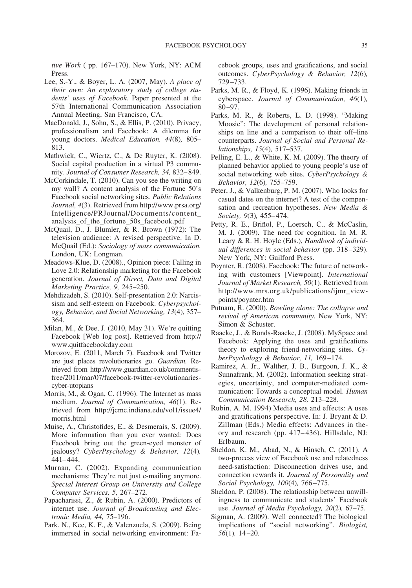*tive Work* ( pp. 167–170). New York, NY: ACM Press.

- Lee, S.-Y., & Boyer, L. A. (2007, May). *A place of their own: An exploratory study of college students' uses of Facebook*. Paper presented at the 57th International Communication Association Annual Meeting, San Francisco, CA.
- MacDonald, J., Sohn, S., & Ellis, P. (2010). Privacy, professionalism and Facebook: A dilemma for young doctors. *Medical Education, 44*(8)*,* 805– 813.
- Mathwick, C., Wiertz, C., & De Ruyter, K. (2008). Social capital production in a virtual P3 community. *Journal of Consumer Research, 34,* 832– 849.
- McCorkindale, T. (2010). Can you see the writing on my wall? A content analysis of the Fortune 50's Facebook social networking sites. *Public Relations Journal, 4*(3). Retrieved from http://www.prsa.org/ Intelligence/PRJournal/Documents/content\_ analysis\_of\_the\_fortune\_50s\_facebook.pdf
- McQuail, D., J. Blumler, & R. Brown (1972): The television audience: A revised perspective. In D. McQuail (Ed.): *Sociology of mass communication.* London, UK: Longman.
- Meadows-Klue, D. (2008)., Opinion piece: Falling in Love 2.0: Relationship marketing for the Facebook generation. *Journal of Direct, Data and Digital Marketing Practice, 9,* 245–250.
- Mehdizadeh, S. (2010). Self-presentation 2.0: Narcissism and self-esteem on Facebook. *Cyberpsychology, Behavior, and Social Networking, 13*(4)*,* 357– 364.
- Milan, M., & Dee, J. (2010, May 31). We're quitting Facebook [Web log post]. Retrieved from http:// www.quitfacebookday.com
- Morozov, E. (2011, March 7). Facebook and Twitter are just places revolutionaries go. *Guardian.* Retrieved from http://www.guardian.co.uk/commentisfree/2011/mar/07/facebook-twitter-revolutionariescyber-utopians
- Morris, M., & Ogan, C. (1996). The Internet as mass medium. *Journal of Communication, 46*(1). Retrieved from http://jcmc.indiana.edu/vol1/issue4/ morris.html
- Muise, A., Christofides, E., & Desmerais, S. (2009). More information than you ever wanted: Does Facebook bring out the green-eyed monster of jealousy? *CyberPsychology & Behavior, 12*(4)*,* 441– 444.
- Murnan, C. (2002). Expanding communication mechanisms: They're not just e-mailing anymore. *Special Interest Group on University and College Computer Services, 5,* 267–272.
- Papacharissi, Z., & Rubin, A. (2000). Predictors of internet use. *Journal of Broadcasting and Electronic Media, 44,* 75–196.
- Park. N., Kee, K. F., & Valenzuela, S. (2009). Being immersed in social networking environment: Fa-

cebook groups, uses and gratifications, and social outcomes. *CyberPsychology & Behavior, 12*(6)*,* 729 –733.

- Parks, M. R., & Floyd, K. (1996). Making friends in cyberspace. *Journal of Communication, 46*(1)*,* 80 –97.
- Parks, M. R., & Roberts, L. D. (1998). "Making Moosic": The development of personal relationships on line and a comparison to their off–line counterparts. *Journal of Social and Personal Relationships, 15*(4)*,* 517–537.
- Pelling, E. L., & White, K. M. (2009). The theory of planned behavior applied to young people's use of social networking web sites. *CyberPsychology & Behavior, 12*(6)*,* 755–759.
- Peter, J., & Valkenburg, P. M. (2007). Who looks for casual dates on the internet? A test of the compensation and recreation hypotheses. *New Media & Society, 9*(3)*,* 455– 474.
- Petty, R. E., Briñol, P., Loersch, C., & McCaslin, M. J. (2009). The need for cognition. In M. R. Leary & R. H. Hoyle (Eds.), *Handbook of individual differences in social behavior* (pp. 318 –329). New York, NY: Guilford Press.
- Poynter, R. (2008). Facebook: The future of networking with customers [Viewpoint]. *International Journal of Market Research, 50*(1). Retrieved from http://www.mrs.org.uk/publications/ijmr\_viewpoints/poynter.htm
- Putnam, R. (2000). *Bowling alone: The collapse and revival of American community.* New York, NY: Simon & Schuster.
- Raacke, J., & Bonds-Raacke, J. (2008). MySpace and Facebook: Applying the uses and gratifications theory to exploring friend-networking sites. *CyberPsychology & Behavior, 11,* 169 –174.
- Ramirez, A. Jr., Walther, J. B., Burgoon, J. K., & Sunnafrank, M. (2002). Information seeking strategies, uncertainty, and computer-mediated communication: Towards a conceptual model. *Human Communication Research, 28,* 213–228.
- Rubin, A. M. 1994) Media uses and effects: A uses and gratifications perspective. In: J. Bryant & D. Zillman (Eds.) Media effects: Advances in theory and research (pp. 417– 436). Hillsdale, NJ: Erlbaum.
- Sheldon, K. M., Abad, N., & Hinsch, C. (2011). A two-process view of Facebook use and relatedness need-satisfaction: Disconnection drives use, and connection rewards it. *Journal of Personality and Social Psychology, 100*(4)*,* 766 –775.
- Sheldon, P. (2008). The relationship between unwillingness to communicate and students' Facebook use. *Journal of Media Psychology, 20*(2)*,* 67–75.
- Sigman, A. (2009). Well connected? The biological implications of "social networking". *Biologist, 56*(1)*,* 14 –20.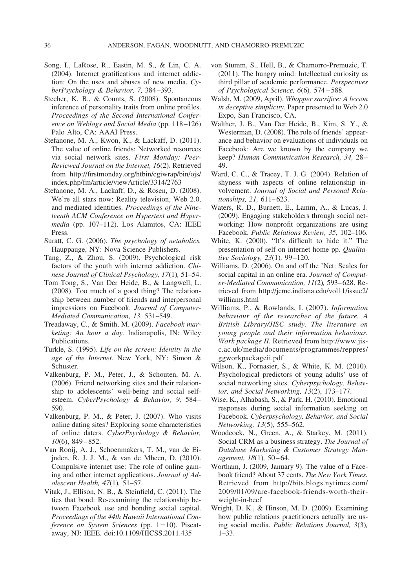- Song, I., LaRose, R., Eastin, M. S., & Lin, C. A. (2004). Internet gratifications and internet addiction: On the uses and abuses of new media. *CyberPsychology & Behavior, 7,* 384 –393.
- Stecher, K. B., & Counts, S. (2008). Spontaneous inference of personality traits from online profiles. *Proceedings of the Second International Conference on Weblogs and Social Media* (pp. 118 –126) Palo Alto, CA: AAAI Press.
- Stefanone, M. A., Kwon, K., & Lackaff, D. (2011). The value of online friends: Networked resources via social network sites. *First Monday: Peer-Reviewed Journal on the Internet, 16*(2). Retrieved from http://firstmonday.org/htbin/cgiwrap/bin/ojs/ index.php/fm/article/viewArticle/3314/2763
- Stefanone, M. A., Lackaff, D., & Rosen, D. (2008). We're all stars now: Reality television, Web 2.0, and mediated identities. *Proceedings of the Nineteenth ACM Conference on Hypertext and Hypermedia* (pp. 107–112). Los Alamitos, CA: IEEE Press.
- Suratt, C. G. (2006). *The psychology of netaholics.* Hauppauge, NY: Nova Science Publishers.
- Tang, Z., & Zhou, S. (2009). Psychological risk factors of the youth with internet addiction. *Chinese Journal of Clinical Psychology, 17*(1)*,* 51–54.
- Tom Tong, S., Van Der Heide, B., & Langwell, L. (2008). Too much of a good thing? The relationship between number of friends and interpersonal impressions on Facebook. *Journal of Computer-Mediated Communication, 13,* 531–549.
- Treadaway, C., & Smith, M. (2009). *Facebook marketing: An hour a day.* Indianapolis, IN: Wiley Publications.
- Turkle, S. (1995). *Life on the screen: Identity in the age of the Internet.* New York, NY: Simon & Schuster.
- Valkenburg, P. M., Peter, J., & Schouten, M. A. (2006). Friend networking sites and their relationship to adolescents' well-being and social selfesteem. *CyberPsychology & Behavior, 9,* 584 – 590.
- Valkenburg, P. M., & Peter, J. (2007). Who visits online dating sites? Exploring some characteristics of online daters. *CyberPsychology & Behavior, 10*(6), 849 – 852.
- Van Rooij, A. J., Schoenmakers, T. M., van de Eijnden, R. J. J. M., & van de Mheen, D. (2010). Compulsive internet use: The role of online gaming and other internet applications. *Journal of Adolescent Health, 47*(1)*,* 51–57.
- Vitak, J., Ellison, N. B., & Steinfield, C. (2011). The ties that bond: Re-examining the relationship between Facebook use and bonding social capital. *Proceedings of the 44th Hawaii International Conference on System Sciences* (pp.  $1-10$ ). Piscataway, NJ: IEEE. doi:10.1109/HICSS.2011.435
- von Stumm, S., Hell, B., & Chamorro-Premuzic, T. (2011). The hungry mind: Intellectual curiosity as third pillar of academic performance. *Perspectives of Psychological Science, 6(6), 574-588.*
- Walsh, M. (2009, April). *Whopper sacrifice: A lesson in deceptive simplicity.* Paper presented to Web 2.0 Expo, San Francisco, CA.
- Walther, J. B., Van Der Heide, B., Kim, S. Y., & Westerman, D. (2008). The role of friends' appearance and behavior on evaluations of individuals on Facebook: Are we known by the company we keep? *Human Communication Research, 34,* 28 – 49.
- Ward, C. C., & Tracey, T. J. G. (2004). Relation of shyness with aspects of online relationship involvement. *Journal of Social and Personal Relationships, 21,* 611– 623.
- Waters, R. D., Burnett, E., Lamm, A., & Lucas, J. (2009). Engaging stakeholders through social networking: How nonprofit organizations are using Facebook. *Public Relations Review, 35,* 102–106.
- White, K. (2000). "It's difficult to hide it." The presentation of self on internet home pp. *Qualitative Sociology, 23*(1)*,* 99 –120.
- Williams, D. (2006). On and off the 'Net: Scales for social capital in an online era. *Journal of Computer-Mediated Communication, 11*(2)*,* 593– 628. Retrieved from http://jcmc.indiana.edu/vol11/issue2/ williams.html
- Williams, P., & Rowlands, I. (2007). *Information behaviour of the researcher of the future. A British Library/JISC study. The literature on young people and their information behaviour. Work package II.* Retrieved from http://www.jisc.ac.uk/media/documents/programmes/reppres/ ggworkpackageii.pdf
- Wilson, K., Fornasier, S., & White, K. M. (2010). Psychological predictors of young adults' use of social networking sites. *Cyberpsychology, Behavior, and Social Networking, 13*(2), 173–177.
- Wise, K., Alhabash, S., & Park. H. (2010). Emotional responses during social information seeking on Facebook. *Cyberpsychology, Behavior, and Social Networking, 13*(5)*,* 555–562.
- Woodcock, N., Green, A., & Starkey, M. (2011). Social CRM as a business strategy. *The Journal of Database Marketing & Customer Strategy Management, 18*(1)*,* 50 – 64.
- Wortham, J. (2009, January 9). The value of a Facebook friend? About 37 cents. *The New York Times.* Retrieved from http://bits.blogs.nytimes.com/ 2009/01/09/are-facebook-friends-worth-theirweight-in-beef
- Wright, D. K., & Hinson, M. D. (2009). Examining how public relations practitioners actually are using social media. *Public Relations Journal, 3*(3)*,* 1–33.